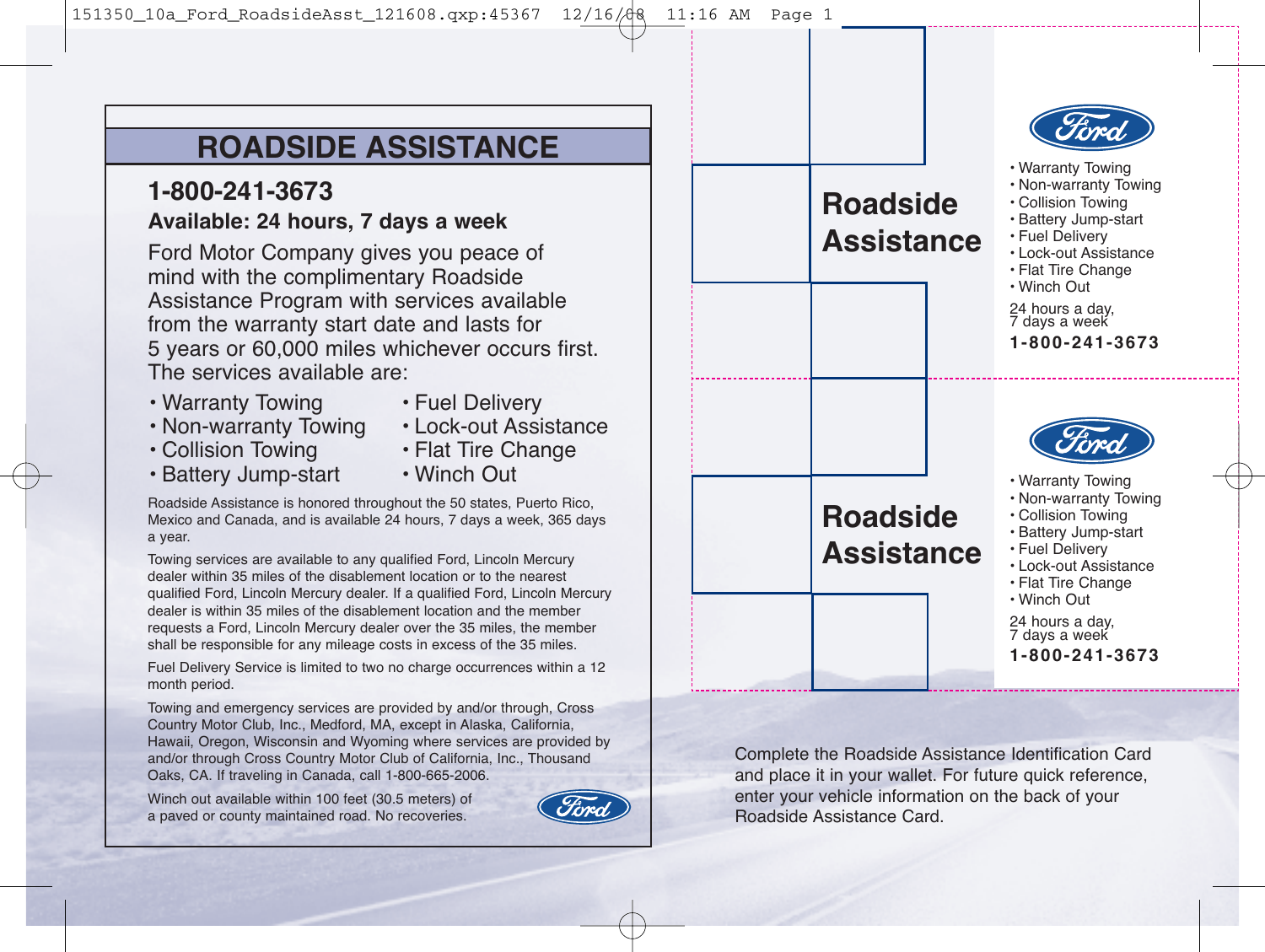# **ROADSIDE ASSISTANCE**

# **1-800-241-3673 Available: 24 hours, 7 days a week**

Ford Motor Company gives you peace of mind with the complimentary Roadside Assistance Program with services available from the warranty start date and lasts for 5 years or 60,000 miles whichever occurs first. The services available are:

- Warranty Towing
	-
- Fuel Delivery
- Non-warranty Towing
- Lock-out Assistance
- Collision Towing • Battery Jump-start
- Flat Tire Change • Winch Out
- Roadside Assistance is honored throughout the 50 states, Puerto Rico, Mexico and Canada, and is available 24 hours, 7 days a week, 365 days a year.

Towing services are available to any qualified Ford, Lincoln Mercury dealer within 35 miles of the disablement location or to the nearest qualified Ford, Lincoln Mercury dealer. If a qualified Ford, Lincoln Mercury dealer is within 35 miles of the disablement location and the member requests a Ford, Lincoln Mercury dealer over the 35 miles, the member shall be responsible for any mileage costs in excess of the 35 miles.

Fuel Delivery Service is limited to two no charge occurrences within a 12 month period.

Towing and emergency services are provided by and/or through, Cross Country Motor Club, Inc., Medford, MA, except in Alaska, California, Hawaii, Oregon, Wisconsin and Wyoming where services are provided by and/or through Cross Country Motor Club of California, Inc., Thousand Oaks, CA. If traveling in Canada, call 1-800-665-2006.

Winch out available within 100 feet (30.5 meters) of a paved or county maintained road. No recoveries.



| <b>Roadside</b><br><b>Assistance</b> | • Warranty Towing<br>• Non-warranty Towing<br>· Collision Towing<br>· Battery Jump-start<br>· Fuel Delivery<br>• Lock-out Assistance<br>• Flat Tire Change<br>• Winch Out<br>24 hours a day,<br>7 days a week<br>1-800-241-3673          |
|--------------------------------------|------------------------------------------------------------------------------------------------------------------------------------------------------------------------------------------------------------------------------------------|
| <b>Roadside</b><br>Assistance        | cned)<br>• Warranty Towing<br>• Non-warranty Towing<br>· Collision Towing<br>· Battery Jump-start<br>• Fuel Deliverv<br>• Lock-out Assistance<br>• Flat Tire Change<br>• Winch Out<br>24 hours a day,<br>7 days a week<br>1-800-241-3673 |

Complete the Roadside Assistance Identification Card and place it in your wallet. For future quick reference, enter your vehicle information on the back of your Roadside Assistance Card.